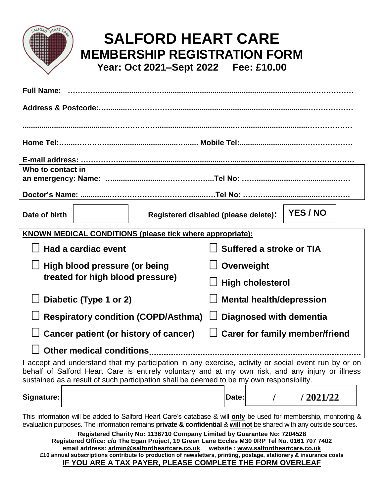

## **SALFORD HEART CARE MEMBERSHIP REGISTRATION FORM Year: Oct 2021–Sept 2022 Fee: £10.00**

| <b>Full Name:</b>                                                                                                                                                                                                                                                                                    |                                                  |
|------------------------------------------------------------------------------------------------------------------------------------------------------------------------------------------------------------------------------------------------------------------------------------------------------|--------------------------------------------------|
| Address & Postcode:………………………………………………………………………………                                                                                                                                                                                                                                                    |                                                  |
|                                                                                                                                                                                                                                                                                                      |                                                  |
|                                                                                                                                                                                                                                                                                                      |                                                  |
| Home Tel:…………………………………………………………… Mobile Tel:………………………………………………                                                                                                                                                                                                                                       |                                                  |
|                                                                                                                                                                                                                                                                                                      |                                                  |
| Who to contact in                                                                                                                                                                                                                                                                                    |                                                  |
|                                                                                                                                                                                                                                                                                                      |                                                  |
|                                                                                                                                                                                                                                                                                                      |                                                  |
| Date of birth                                                                                                                                                                                                                                                                                        | YES / NO<br>Registered disabled (please delete): |
| KNOWN MEDICAL CONDITIONS (please tick where appropriate):                                                                                                                                                                                                                                            |                                                  |
| Had a cardiac event                                                                                                                                                                                                                                                                                  | Suffered a stroke or TIA                         |
| High blood pressure (or being<br>treated for high blood pressure)                                                                                                                                                                                                                                    | Overweight                                       |
|                                                                                                                                                                                                                                                                                                      | <b>High cholesterol</b>                          |
| Diabetic (Type 1 or 2)                                                                                                                                                                                                                                                                               | <b>Mental health/depression</b>                  |
| <b>Respiratory condition (COPD/Asthma)</b>                                                                                                                                                                                                                                                           | Diagnosed with dementia                          |
| Cancer patient (or history of cancer)                                                                                                                                                                                                                                                                | $\Box$ Carer for family member/friend            |
| Other medical conditions.                                                                                                                                                                                                                                                                            |                                                  |
| I accept and understand that my participation in any exercise, activity or social event run by or on<br>behalf of Salford Heart Care is entirely voluntary and at my own risk, and any injury or illness<br>sustained as a result of such participation shall be deemed to be my own responsibility. |                                                  |
| Signature:                                                                                                                                                                                                                                                                                           | /2021/22<br>Date:                                |

This information will be added to Salford Heart Care's database & will **only** be used for membership, monitoring & evaluation purposes. The information remains **private & confidential** & **will not** be shared with any outside sources.

**Registered Charity No: 1136710 Company Limited by Guarantee No: 7204528 Registered Office: c/o The Egan Project, 19 Green Lane Eccles M30 0RP Tel No. 0161 707 7402 email address: [admin@salfordheartcare.co.uk](mailto:admin@salfordheartcare.co.uk) website : [www.salfordheartcare.co.uk](http://www.salfordheartcare.co.uk/) £10 annual subscriptions contribute to production of newsletters, printing, postage, stationery & insurance costs IF YOU ARE A TAX PAYER, PLEASE COMPLETE THE FORM OVERLEAF**